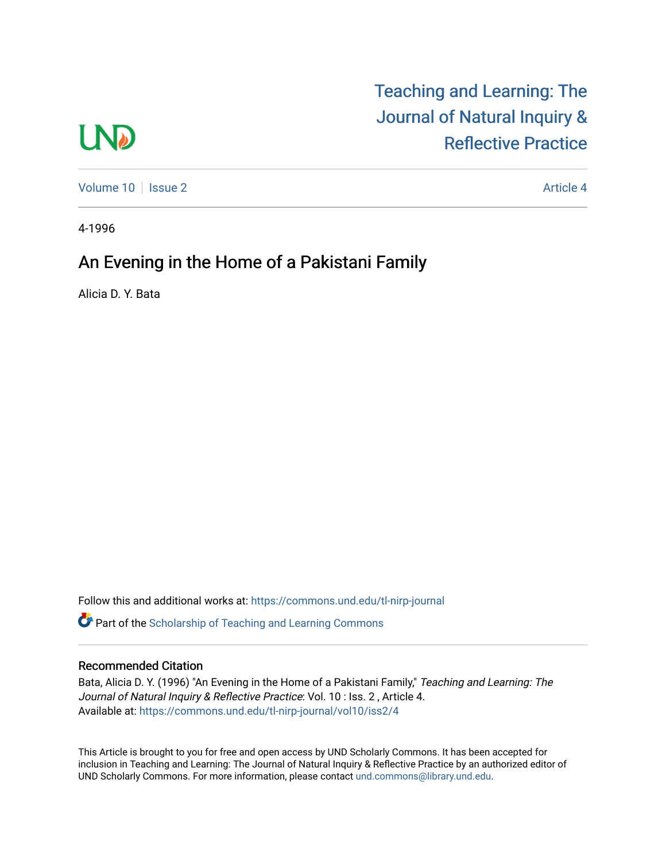# **LND**

[Teaching and Learning: The](https://commons.und.edu/tl-nirp-journal)  [Journal of Natural Inquiry &](https://commons.und.edu/tl-nirp-journal)  [Reflective Practice](https://commons.und.edu/tl-nirp-journal) 

[Volume 10](https://commons.und.edu/tl-nirp-journal/vol10) | [Issue 2](https://commons.und.edu/tl-nirp-journal/vol10/iss2) Article 4

4-1996

# An Evening in the Home of a Pakistani Family

Alicia D. Y. Bata

Follow this and additional works at: [https://commons.und.edu/tl-nirp-journal](https://commons.und.edu/tl-nirp-journal?utm_source=commons.und.edu%2Ftl-nirp-journal%2Fvol10%2Fiss2%2F4&utm_medium=PDF&utm_campaign=PDFCoverPages)  **C** Part of the Scholarship of Teaching and Learning Commons

## Recommended Citation

Bata, Alicia D. Y. (1996) "An Evening in the Home of a Pakistani Family," Teaching and Learning: The Journal of Natural Inquiry & Reflective Practice: Vol. 10 : Iss. 2, Article 4. Available at: [https://commons.und.edu/tl-nirp-journal/vol10/iss2/4](https://commons.und.edu/tl-nirp-journal/vol10/iss2/4?utm_source=commons.und.edu%2Ftl-nirp-journal%2Fvol10%2Fiss2%2F4&utm_medium=PDF&utm_campaign=PDFCoverPages) 

This Article is brought to you for free and open access by UND Scholarly Commons. It has been accepted for inclusion in Teaching and Learning: The Journal of Natural Inquiry & Reflective Practice by an authorized editor of UND Scholarly Commons. For more information, please contact [und.commons@library.und.edu.](mailto:und.commons@library.und.edu)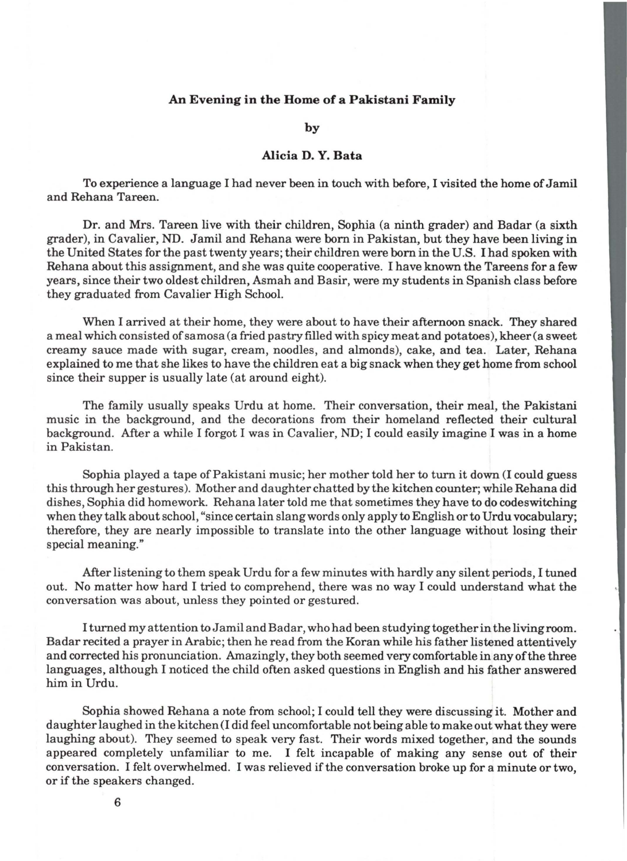### **An Evening in the Home of a Pakistani Family**

**by** 

### **Alicia D. Y. Bata**

To experience a language I had never been in touch with before, I visited the home of Jamil and Rehana Tareen.

Dr. and Mrs. Tareen live with their children, Sophia (a ninth grader) and Badar (a sixth grader), in Cavalier, ND. Jamil and Rehana were born in Pakistan, but they have been living in the United States for the past twenty years; their children were born in the U.S. I had spoken with Rehana about this assignment, and she was quite cooperative. I have known the Tareens for a few years, since their two oldest children, Asmah and Basir, were my students in Spanish class before they graduated from Cavalier High School.

When I arrived at their home, they were about to have their afternoon snack. They shared a meal which consisted of samosa (a fried pastry filled with spicy meat and potatoes), kheer (a sweet creamy sauce made with sugar, cream, noodles, and almonds), cake, and tea. Later, Rehana explained to me that she likes to have the children eat a big snack when they get home from school since their supper is usually late (at around eight).

The family usually speaks Urdu at home. Their conversation, their meal, the Pakistani music in the background, and the decorations from their homeland reflected their cultural background. After a while I forgot I was in Cavalier, ND; I could easily imagine I was in a home in Pakistan.

Sophia played a tape of Pakistani music; her mother told her to turn it down (I could guess this through her gestures). Mother and daughter chatted by the kitchen counter; while Rehana did dishes, Sophia did homework. Rehana later told me that sometimes they have to do codeswitching when they talk about school, "since certain slang words only apply to English or to Urdu vocabulary; therefore, they are nearly impossible to translate into the other language without losing their special meaning."

After listening to them speak Urdu for a few minutes with hardly any silent periods, I tuned out. No matter how hard I tried to comprehend, there was no way I could understand what the conversation was about, unless they pointed or gestured.

I turned my attention to Jamil and Badar, who had been studying together in the living room. Badar recited a prayer in Arabic; then he read from the Koran while his father listened attentively and corrected his pronunciation. Amazingly, they both seemed very comfortable in any of the three languages, although I noticed the child often asked questions in English and his father answered him in Urdu.

Sophia showed Rehana a note from school; I could tell they were discussing it. Mother and daughter laughed in the kitchen (I did feel uncomfortable not being able to make out what they were laughing about). They seemed to speak very fast. Their words mixed together, and the sounds appeared completely unfamiliar to me. I felt incapable of making any sense out of their conversation. I felt overwhelmed. I was relieved if the conversation broke up for a minute or two, or if the speakers changed.